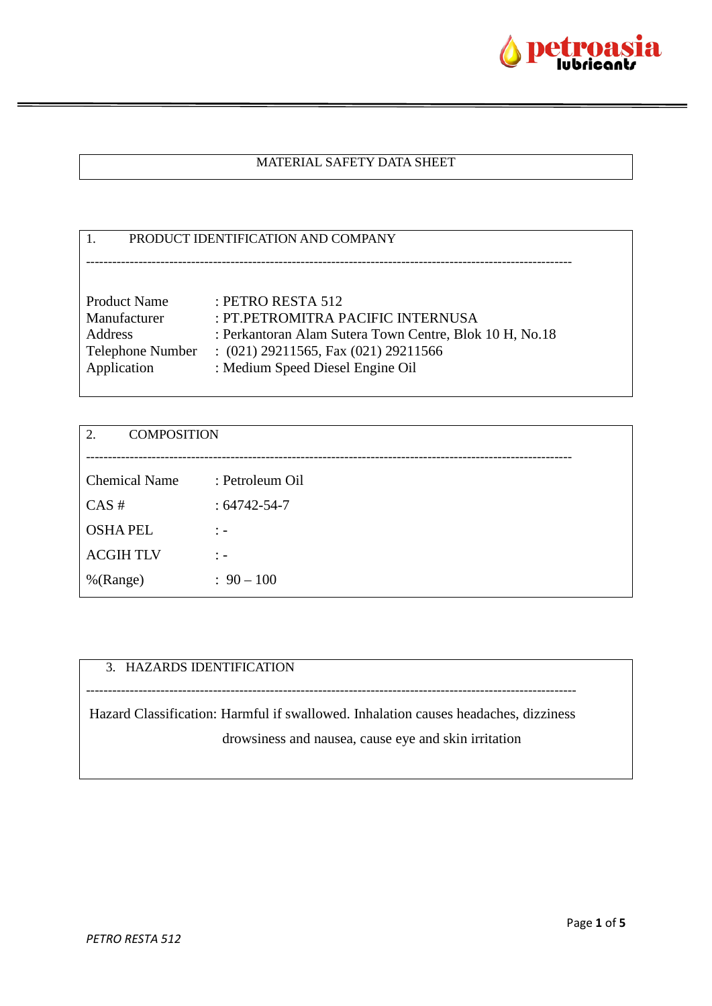

## MATERIAL SAFETY DATA SHEET

| PRODUCT IDENTIFICATION AND COMPANY |                                                         |  |
|------------------------------------|---------------------------------------------------------|--|
|                                    |                                                         |  |
|                                    |                                                         |  |
| <b>Product Name</b>                | : PETRO RESTA 512                                       |  |
| Manufacturer                       | : PT.PETROMITRA PACIFIC INTERNUSA                       |  |
| Address                            | : Perkantoran Alam Sutera Town Centre, Blok 10 H, No.18 |  |
| Telephone Number                   | : $(021)$ 29211565, Fax $(021)$ 29211566                |  |
| Application                        | : Medium Speed Diesel Engine Oil                        |  |
|                                    |                                                         |  |

| <b>COMPOSITION</b><br>2. |                    |
|--------------------------|--------------------|
|                          |                    |
| <b>Chemical Name</b>     | : Petroleum Oil    |
| CAS#                     | $: 64742 - 54 - 7$ |
| <b>OSHA PEL</b>          | $\ddot{ }$ =       |
| <b>ACGIHTLV</b>          | $\mathcal{F}$      |
| %(Range)                 | $: 90 - 100$       |

# 3. HAZARDS IDENTIFICATION

Hazard Classification: Harmful if swallowed. Inhalation causes headaches, dizziness drowsiness and nausea, cause eye and skin irritation

----------------------------------------------------------------------------------------------------------------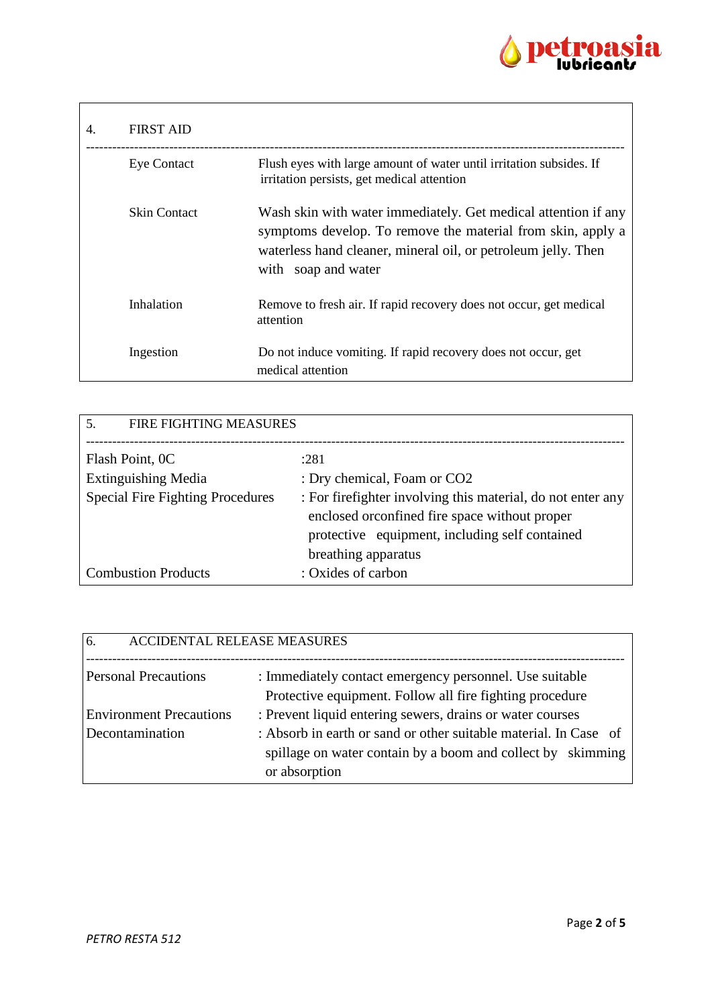

| 4. | <b>FIRST AID</b>   |                                                                                                                                                                                                                       |
|----|--------------------|-----------------------------------------------------------------------------------------------------------------------------------------------------------------------------------------------------------------------|
|    | <b>Eye Contact</b> | Flush eyes with large amount of water until irritation subsides. If<br>irritation persists, get medical attention                                                                                                     |
|    | Skin Contact       | Wash skin with water immediately. Get medical attention if any<br>symptoms develop. To remove the material from skin, apply a<br>waterless hand cleaner, mineral oil, or petroleum jelly. Then<br>with soap and water |
|    | Inhalation         | Remove to fresh air. If rapid recovery does not occur, get medical<br>attention                                                                                                                                       |
|    | Ingestion          | Do not induce vomiting. If rapid recovery does not occur, get<br>medical attention                                                                                                                                    |

| <b>FIRE FIGHTING MEASURES</b><br>.5.    |                                                                                                                                                                                        |
|-----------------------------------------|----------------------------------------------------------------------------------------------------------------------------------------------------------------------------------------|
| Flash Point, 0C                         | :281                                                                                                                                                                                   |
| <b>Extinguishing Media</b>              | : Dry chemical, Foam or CO2                                                                                                                                                            |
| <b>Special Fire Fighting Procedures</b> | : For firefighter involving this material, do not enter any<br>enclosed or confined fire space without proper<br>protective equipment, including self contained<br>breathing apparatus |
| <b>Combustion Products</b>              | : Oxides of carbon                                                                                                                                                                     |

| 6.<br><b>ACCIDENTAL RELEASE MEASURES</b> |                                                                                                                                 |
|------------------------------------------|---------------------------------------------------------------------------------------------------------------------------------|
| <b>Personal Precautions</b>              | : Immediately contact emergency personnel. Use suitable<br>Protective equipment. Follow all fire fighting procedure             |
| <b>Environment Precautions</b>           | : Prevent liquid entering sewers, drains or water courses                                                                       |
| Decontamination                          | : Absorb in earth or sand or other suitable material. In Case of<br>spillage on water contain by a boom and collect by skimming |
|                                          | or absorption                                                                                                                   |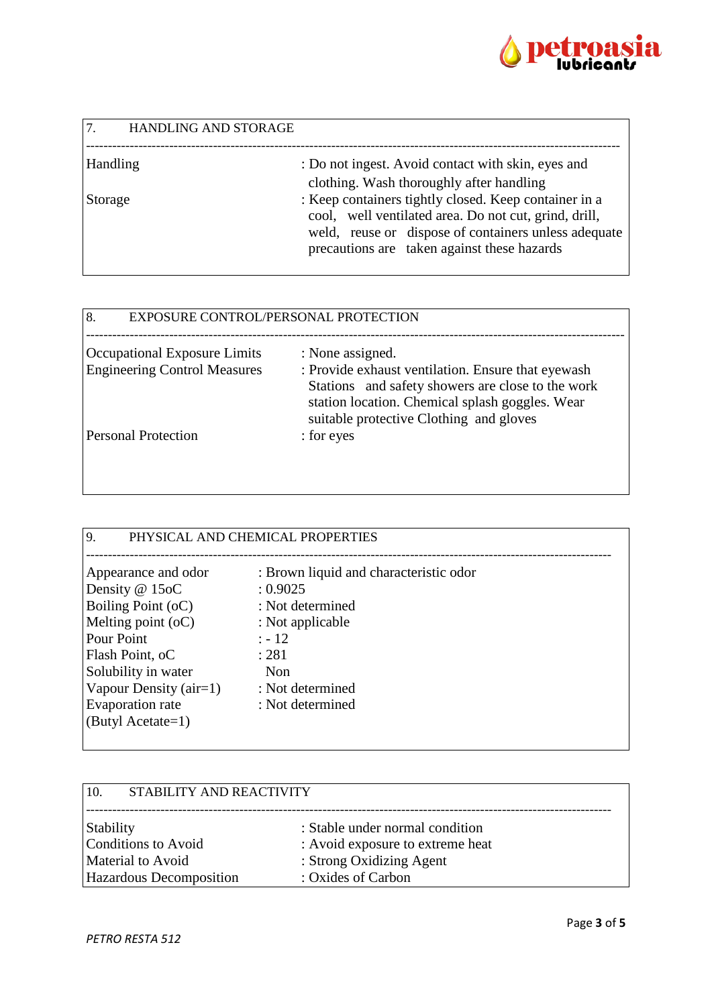

| 7.<br><b>HANDLING AND STORAGE</b> |                                                                                                                                                                                                                       |
|-----------------------------------|-----------------------------------------------------------------------------------------------------------------------------------------------------------------------------------------------------------------------|
| Handling                          | : Do not ingest. Avoid contact with skin, eyes and<br>clothing. Wash thoroughly after handling                                                                                                                        |
| Storage                           | : Keep containers tightly closed. Keep container in a<br>cool, well ventilated area. Do not cut, grind, drill,<br>weld, reuse or dispose of containers unless adequate<br>precautions are taken against these hazards |

| 8.<br>EXPOSURE CONTROL/PERSONAL PROTECTION |                                                                                                                                                                                                       |
|--------------------------------------------|-------------------------------------------------------------------------------------------------------------------------------------------------------------------------------------------------------|
| Occupational Exposure Limits               | : None assigned.                                                                                                                                                                                      |
| <b>Engineering Control Measures</b>        | : Provide exhaust ventilation. Ensure that eyewash<br>Stations and safety showers are close to the work<br>station location. Chemical splash goggles. Wear<br>suitable protective Clothing and gloves |
| <b>Personal Protection</b>                 | : for eyes                                                                                                                                                                                            |

| 9.<br>PHYSICAL AND CHEMICAL PROPERTIES                                                                                                                                                                                                                  |                                                                                                                        |  |
|---------------------------------------------------------------------------------------------------------------------------------------------------------------------------------------------------------------------------------------------------------|------------------------------------------------------------------------------------------------------------------------|--|
| Appearance and odor<br>Density @ 15oC<br>: 0.9025<br>Boiling Point (oC)<br>Melting point $(oC)$<br>Pour Point<br>$: -12$<br>Flash Point, oC<br>: 281<br>Solubility in water<br>Non<br>Vapour Density $(air=1)$<br>Evaporation rate<br>(Butyl Acetate=1) | : Brown liquid and characteristic odor<br>: Not determined<br>: Not applicable<br>: Not determined<br>: Not determined |  |

| STABILITY AND REACTIVITY<br>10. |                                  |
|---------------------------------|----------------------------------|
| Stability                       | : Stable under normal condition  |
| <b>Conditions to Avoid</b>      | : Avoid exposure to extreme heat |
| Material to Avoid               | : Strong Oxidizing Agent         |
| Hazardous Decomposition         | : Oxides of Carbon               |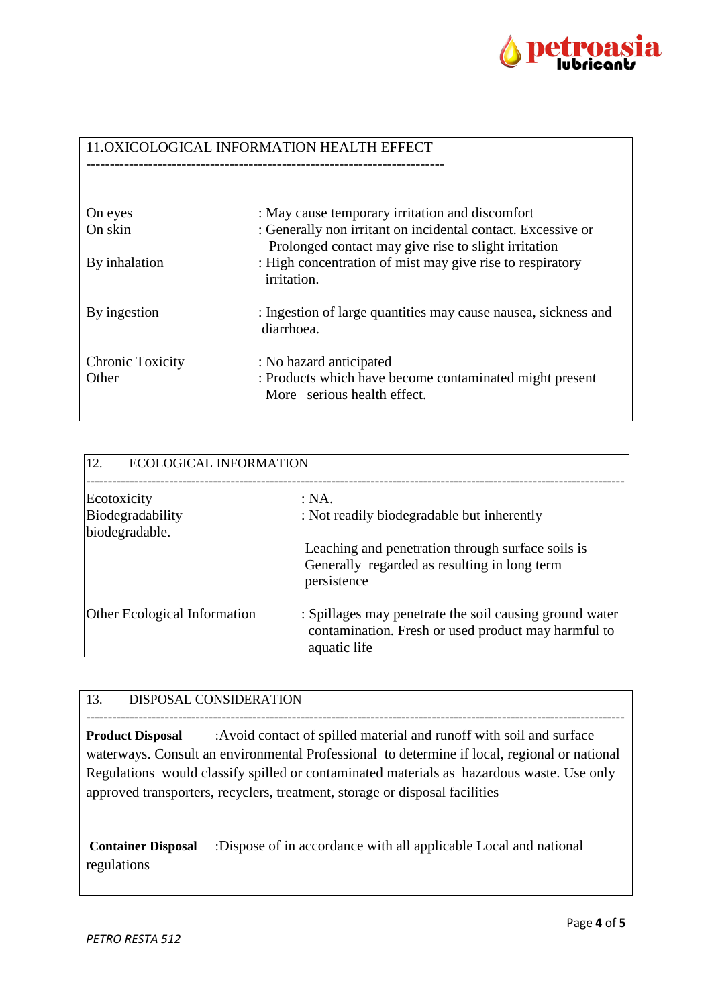

### 11.OXICOLOGICAL INFORMATION HEALTH EFFECT

| On eyes<br>On skin               | : May cause temporary irritation and discomfort<br>: Generally non irritant on incidental contact. Excessive or<br>Prolonged contact may give rise to slight irritation |
|----------------------------------|-------------------------------------------------------------------------------------------------------------------------------------------------------------------------|
| By inhalation                    | : High concentration of mist may give rise to respiratory<br><i>irritation.</i>                                                                                         |
| By ingestion                     | : Ingestion of large quantities may cause nausea, sickness and<br>diarrhoea.                                                                                            |
| <b>Chronic Toxicity</b><br>Other | : No hazard anticipated<br>: Products which have become contaminated might present<br>More serious health effect.                                                       |

| 12.<br><b>ECOLOGICAL INFORMATION</b> |                                                                                                                                |  |
|--------------------------------------|--------------------------------------------------------------------------------------------------------------------------------|--|
| Ecotoxicity<br>Biodegradability      | : NA.<br>: Not readily biodegradable but inherently                                                                            |  |
| biodegradable.                       | Leaching and penetration through surface soils is<br>Generally regarded as resulting in long term<br>persistence               |  |
| <b>Other Ecological Information</b>  | : Spillages may penetrate the soil causing ground water<br>contamination. Fresh or used product may harmful to<br>aquatic life |  |

## 13. DISPOSAL CONSIDERATION

--------------------------------------------------------------------------------------------------------------------------- **Product Disposal** :Avoid contact of spilled material and runoff with soil and surface waterways. Consult an environmental Professional to determine if local, regional or national Regulations would classify spilled or contaminated materials as hazardous waste. Use only approved transporters, recyclers, treatment, storage or disposal facilities

**Container Disposal** :Dispose of in accordance with all applicable Local and national regulations